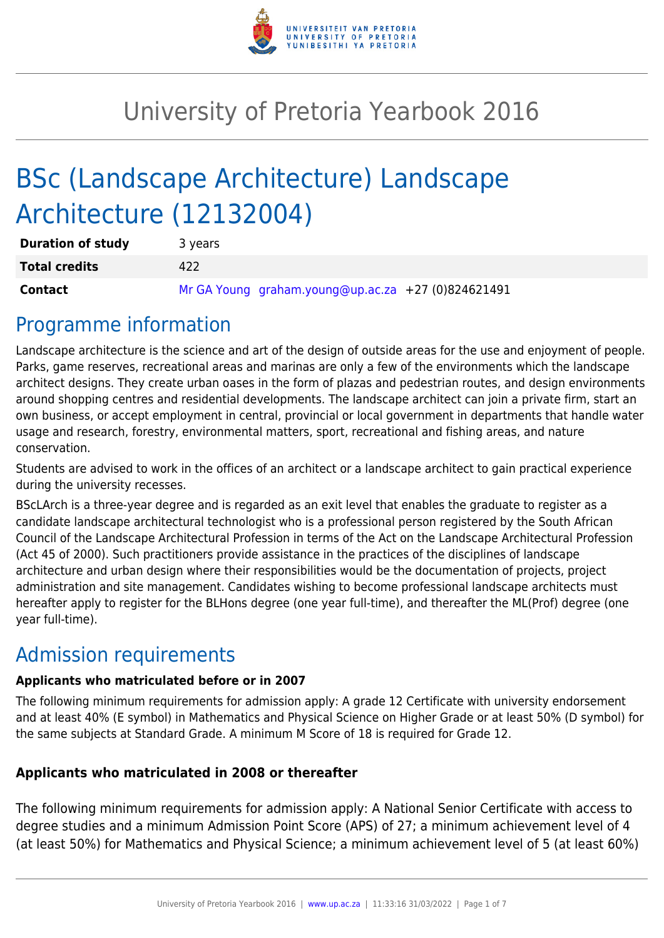

# University of Pretoria Yearbook 2016

# BSc (Landscape Architecture) Landscape Architecture (12132004)

| <b>Duration of study</b> | 3 years                                            |
|--------------------------|----------------------------------------------------|
| <b>Total credits</b>     | 422                                                |
| <b>Contact</b>           | Mr GA Young graham.young@up.ac.za +27 (0)824621491 |

# Programme information

Landscape architecture is the science and art of the design of outside areas for the use and enjoyment of people. Parks, game reserves, recreational areas and marinas are only a few of the environments which the landscape architect designs. They create urban oases in the form of plazas and pedestrian routes, and design environments around shopping centres and residential developments. The landscape architect can join a private firm, start an own business, or accept employment in central, provincial or local government in departments that handle water usage and research, forestry, environmental matters, sport, recreational and fishing areas, and nature conservation.

Students are advised to work in the offices of an architect or a landscape architect to gain practical experience during the university recesses.

BScLArch is a three-year degree and is regarded as an exit level that enables the graduate to register as a candidate landscape architectural technologist who is a professional person registered by the South African Council of the Landscape Architectural Profession in terms of the Act on the Landscape Architectural Profession (Act 45 of 2000). Such practitioners provide assistance in the practices of the disciplines of landscape architecture and urban design where their responsibilities would be the documentation of projects, project administration and site management. Candidates wishing to become professional landscape architects must hereafter apply to register for the BLHons degree (one year full-time), and thereafter the ML(Prof) degree (one year full-time).

# Admission requirements

### **Applicants who matriculated before or in 2007**

The following minimum requirements for admission apply: A grade 12 Certificate with university endorsement and at least 40% (E symbol) in Mathematics and Physical Science on Higher Grade or at least 50% (D symbol) for the same subjects at Standard Grade. A minimum M Score of 18 is required for Grade 12.

### **Applicants who matriculated in 2008 or thereafter**

The following minimum requirements for admission apply: A National Senior Certificate with access to degree studies and a minimum Admission Point Score (APS) of 27; a minimum achievement level of 4 (at least 50%) for Mathematics and Physical Science; a minimum achievement level of 5 (at least 60%)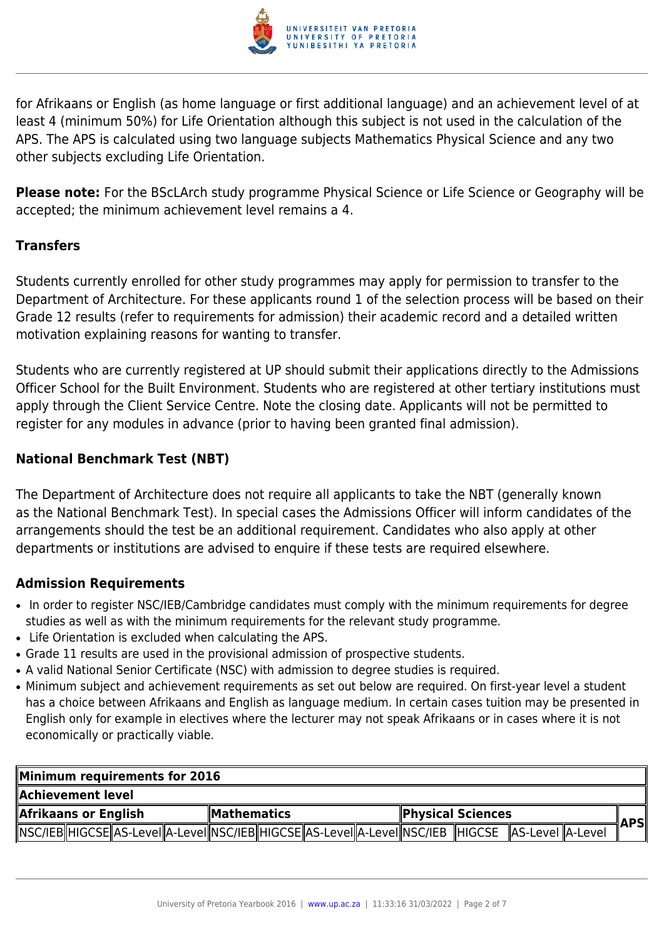

for Afrikaans or English (as home language or first additional language) and an achievement level of at least 4 (minimum 50%) for Life Orientation although this subject is not used in the calculation of the APS. The APS is calculated using two language subjects Mathematics Physical Science and any two other subjects excluding Life Orientation.

**Please note:** For the BScLArch study programme Physical Science or Life Science or Geography will be accepted; the minimum achievement level remains a 4.

### **Transfers**

Students currently enrolled for other study programmes may apply for permission to transfer to the Department of Architecture. For these applicants round 1 of the selection process will be based on their Grade 12 results (refer to requirements for admission) their academic record and a detailed written motivation explaining reasons for wanting to transfer.

Students who are currently registered at UP should submit their applications directly to the Admissions Officer School for the Built Environment. Students who are registered at other tertiary institutions must apply through the Client Service Centre. Note the closing date. Applicants will not be permitted to register for any modules in advance (prior to having been granted final admission).

#### **National Benchmark Test (NBT)**

The Department of Architecture does not require all applicants to take the NBT (generally known as the National Benchmark Test). In special cases the Admissions Officer will inform candidates of the arrangements should the test be an additional requirement. Candidates who also apply at other departments or institutions are advised to enquire if these tests are required elsewhere.

### **Admission Requirements**

- In order to register NSC/IEB/Cambridge candidates must comply with the minimum requirements for degree studies as well as with the minimum requirements for the relevant study programme.
- Life Orientation is excluded when calculating the APS.
- Grade 11 results are used in the provisional admission of prospective students.
- A valid National Senior Certificate (NSC) with admission to degree studies is required.
- Minimum subject and achievement requirements as set out below are required. On first-year level a student has a choice between Afrikaans and English as language medium. In certain cases tuition may be presented in English only for example in electives where the lecturer may not speak Afrikaans or in cases where it is not economically or practically viable.

| Minimum requirements for 2016                                                                                |              |  |  |  |                          |  |  |  |  |       |
|--------------------------------------------------------------------------------------------------------------|--------------|--|--|--|--------------------------|--|--|--|--|-------|
| Achievement level.                                                                                           |              |  |  |  |                          |  |  |  |  |       |
| Afrikaans or English                                                                                         | ∥Mathematics |  |  |  | <b>Physical Sciences</b> |  |  |  |  |       |
| MSC/IEB HIGCSE  AS-Level  A-Level  NSC/IEB  HIGCSE  AS-Level  A-Level  NSC/IEB   HIGCSE   AS-Level   A-Level |              |  |  |  |                          |  |  |  |  | ∥APSI |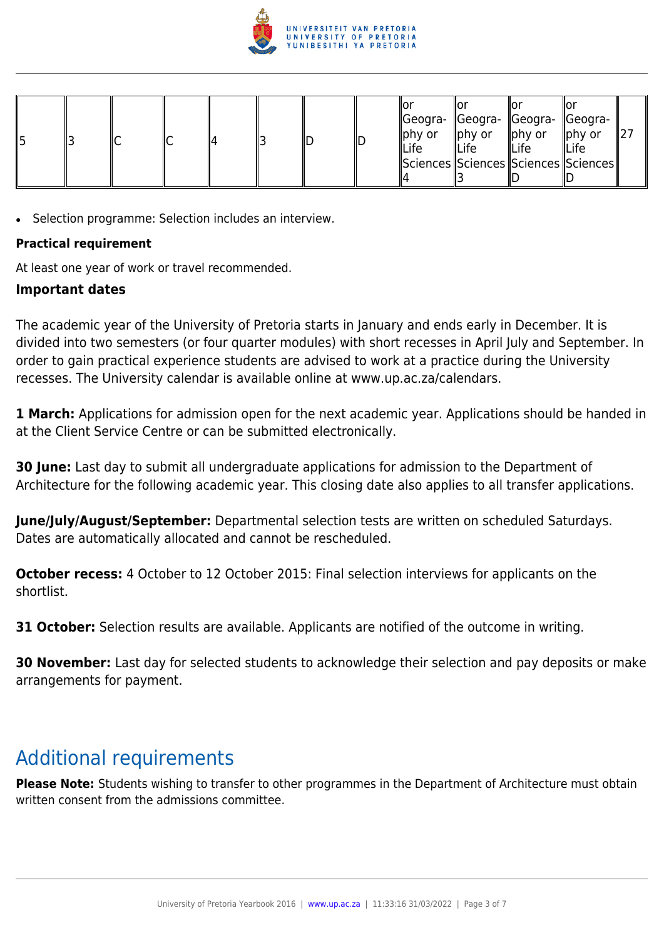

| ∥ҕ |  |  |  |  | ШD |  | ΙO<br>∥phy or<br><b>ILife</b> | Geogra-   Geogra-   Geogra-   Geogra-<br>phy or<br><b>ILife</b><br>  Sciences  Sciences  Sciences  Sciences | $\parallel$ phy or<br><b>ILife</b> | ∥Or<br>$\parallel$ phy or<br><b>ILife</b> |  |
|----|--|--|--|--|----|--|-------------------------------|-------------------------------------------------------------------------------------------------------------|------------------------------------|-------------------------------------------|--|
|----|--|--|--|--|----|--|-------------------------------|-------------------------------------------------------------------------------------------------------------|------------------------------------|-------------------------------------------|--|

• Selection programme: Selection includes an interview.

#### **Practical requirement**

At least one year of work or travel recommended.

#### **Important dates**

The academic year of the University of Pretoria starts in January and ends early in December. It is divided into two semesters (or four quarter modules) with short recesses in April July and September. In order to gain practical experience students are advised to work at a practice during the University recesses. The University calendar is available online at www.up.ac.za/calendars.

**1 March:** Applications for admission open for the next academic year. Applications should be handed in at the Client Service Centre or can be submitted electronically.

**30 June:** Last day to submit all undergraduate applications for admission to the Department of Architecture for the following academic year. This closing date also applies to all transfer applications.

**June/July/August/September:** Departmental selection tests are written on scheduled Saturdays. Dates are automatically allocated and cannot be rescheduled.

**October recess:** 4 October to 12 October 2015: Final selection interviews for applicants on the shortlist.

**31 October:** Selection results are available. Applicants are notified of the outcome in writing.

**30 November:** Last day for selected students to acknowledge their selection and pay deposits or make arrangements for payment.

## Additional requirements

**Please Note:** Students wishing to transfer to other programmes in the Department of Architecture must obtain written consent from the admissions committee.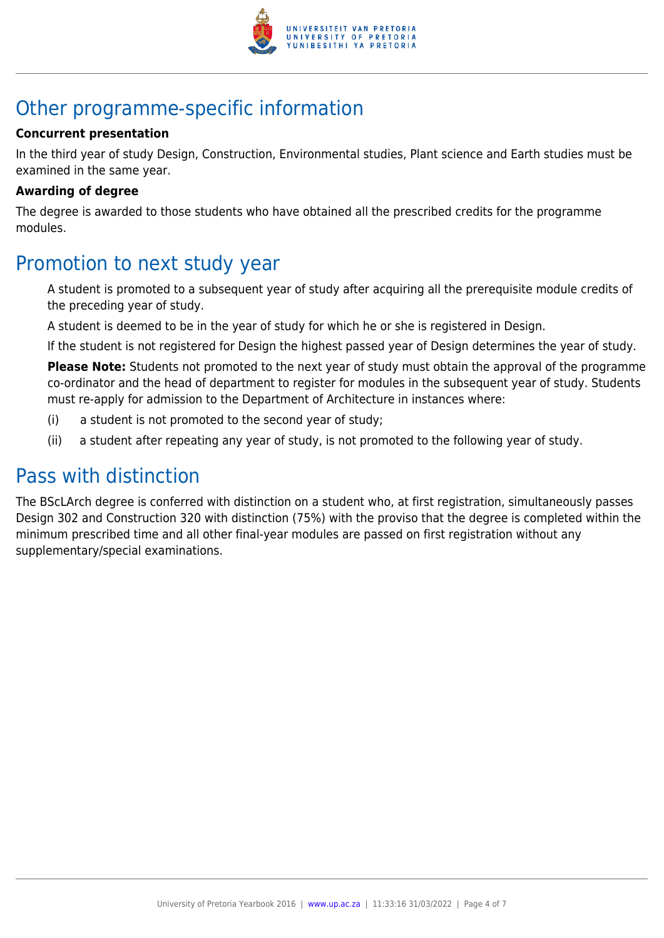

# Other programme-specific information

#### **Concurrent presentation**

In the third year of study Design, Construction, Environmental studies, Plant science and Earth studies must be examined in the same year.

#### **Awarding of degree**

The degree is awarded to those students who have obtained all the prescribed credits for the programme modules.

### Promotion to next study year

A student is promoted to a subsequent year of study after acquiring all the prerequisite module credits of the preceding year of study.

A student is deemed to be in the year of study for which he or she is registered in Design.

If the student is not registered for Design the highest passed year of Design determines the year of study.

**Please Note:** Students not promoted to the next year of study must obtain the approval of the programme co-ordinator and the head of department to register for modules in the subsequent year of study. Students must re-apply for admission to the Department of Architecture in instances where:

- (i) a student is not promoted to the second year of study;
- (ii) a student after repeating any year of study, is not promoted to the following year of study.

### Pass with distinction

The BScLArch degree is conferred with distinction on a student who, at first registration, simultaneously passes Design 302 and Construction 320 with distinction (75%) with the proviso that the degree is completed within the minimum prescribed time and all other final-year modules are passed on first registration without any supplementary/special examinations.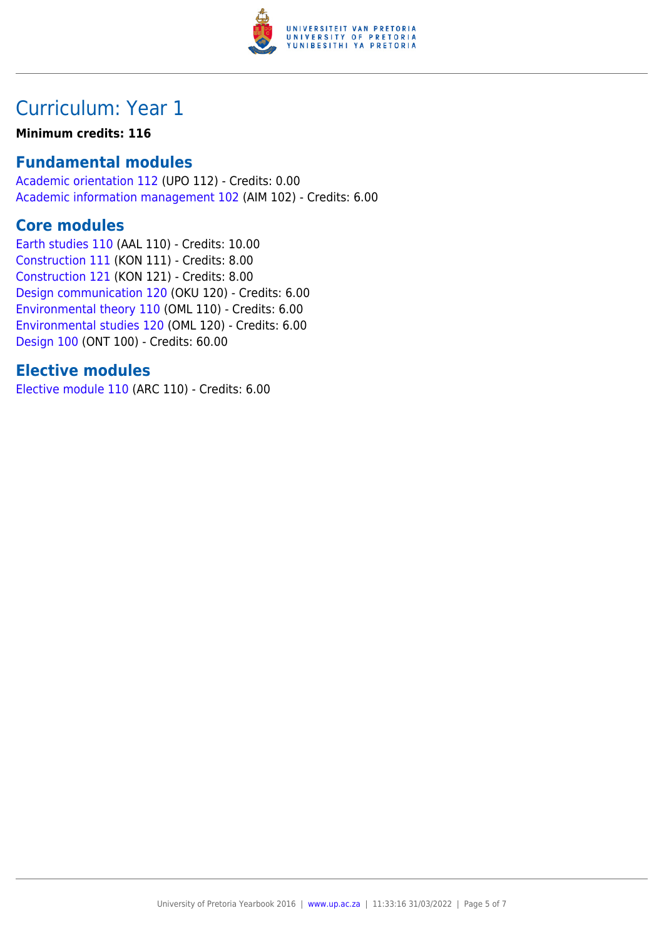

# Curriculum: Year 1

#### **Minimum credits: 116**

### **Fundamental modules**

[Academic orientation 112](https://www.up.ac.za/mechanical-and-aeronautical-engineering/yearbooks/2016/modules/view/UPO 112) (UPO 112) - Credits: 0.00 [Academic information management 102](https://www.up.ac.za/mechanical-and-aeronautical-engineering/yearbooks/2016/modules/view/AIM 102) (AIM 102) - Credits: 6.00

### **Core modules**

[Earth studies 110](https://www.up.ac.za/mechanical-and-aeronautical-engineering/yearbooks/2016/modules/view/AAL 110) (AAL 110) - Credits: 10.00 [Construction 111](https://www.up.ac.za/mechanical-and-aeronautical-engineering/yearbooks/2016/modules/view/KON 111) (KON 111) - Credits: 8.00 [Construction 121](https://www.up.ac.za/mechanical-and-aeronautical-engineering/yearbooks/2016/modules/view/KON 121) (KON 121) - Credits: 8.00 [Design communication 120](https://www.up.ac.za/mechanical-and-aeronautical-engineering/yearbooks/2016/modules/view/OKU 120) (OKU 120) - Credits: 6.00 [Environmental theory 110](https://www.up.ac.za/mechanical-and-aeronautical-engineering/yearbooks/2016/modules/view/OML 110) (OML 110) - Credits: 6.00 [Environmental studies 120](https://www.up.ac.za/mechanical-and-aeronautical-engineering/yearbooks/2016/modules/view/OML 120) (OML 120) - Credits: 6.00 [Design 100](https://www.up.ac.za/mechanical-and-aeronautical-engineering/yearbooks/2016/modules/view/ONT 100) (ONT 100) - Credits: 60.00

### **Elective modules**

[Elective module 110](https://www.up.ac.za/mechanical-and-aeronautical-engineering/yearbooks/2016/modules/view/ARC 110) (ARC 110) - Credits: 6.00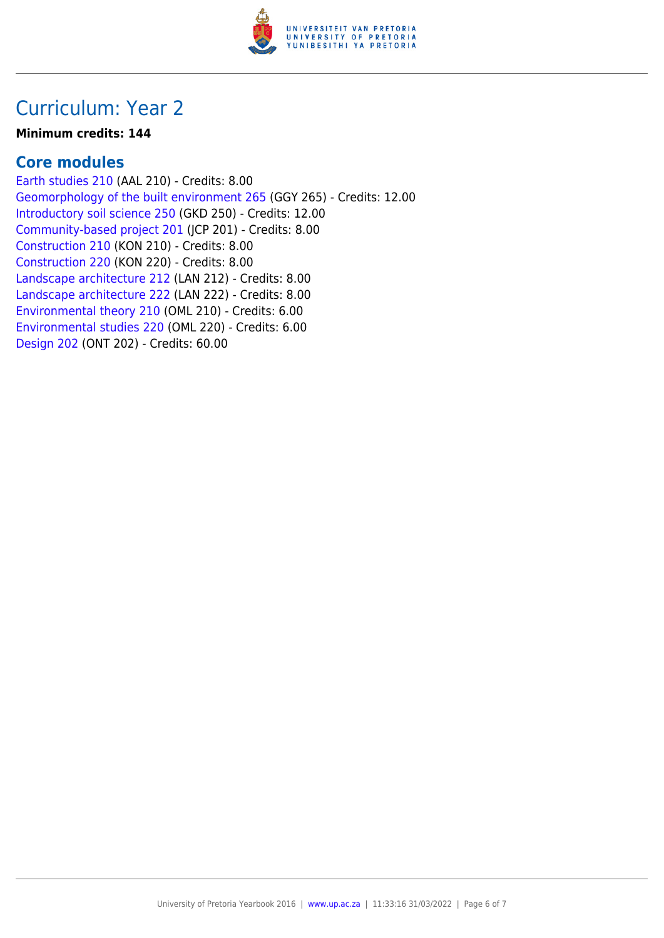

# Curriculum: Year 2

#### **Minimum credits: 144**

### **Core modules**

[Earth studies 210](https://www.up.ac.za/mechanical-and-aeronautical-engineering/yearbooks/2016/modules/view/AAL 210) (AAL 210) - Credits: 8.00 [Geomorphology of the built environment 265](https://www.up.ac.za/mechanical-and-aeronautical-engineering/yearbooks/2016/modules/view/GGY 265) (GGY 265) - Credits: 12.00 [Introductory soil science 250](https://www.up.ac.za/mechanical-and-aeronautical-engineering/yearbooks/2016/modules/view/GKD 250) (GKD 250) - Credits: 12.00 [Community-based project 201](https://www.up.ac.za/mechanical-and-aeronautical-engineering/yearbooks/2016/modules/view/JCP 201) (JCP 201) - Credits: 8.00 [Construction 210](https://www.up.ac.za/mechanical-and-aeronautical-engineering/yearbooks/2016/modules/view/KON 210) (KON 210) - Credits: 8.00 [Construction 220](https://www.up.ac.za/mechanical-and-aeronautical-engineering/yearbooks/2016/modules/view/KON 220) (KON 220) - Credits: 8.00 [Landscape architecture 212](https://www.up.ac.za/mechanical-and-aeronautical-engineering/yearbooks/2016/modules/view/LAN 212) (LAN 212) - Credits: 8.00 [Landscape architecture 222](https://www.up.ac.za/mechanical-and-aeronautical-engineering/yearbooks/2016/modules/view/LAN 222) (LAN 222) - Credits: 8.00 [Environmental theory 210](https://www.up.ac.za/mechanical-and-aeronautical-engineering/yearbooks/2016/modules/view/OML 210) (OML 210) - Credits: 6.00 [Environmental studies 220](https://www.up.ac.za/mechanical-and-aeronautical-engineering/yearbooks/2016/modules/view/OML 220) (OML 220) - Credits: 6.00 [Design 202](https://www.up.ac.za/mechanical-and-aeronautical-engineering/yearbooks/2016/modules/view/ONT 202) (ONT 202) - Credits: 60.00